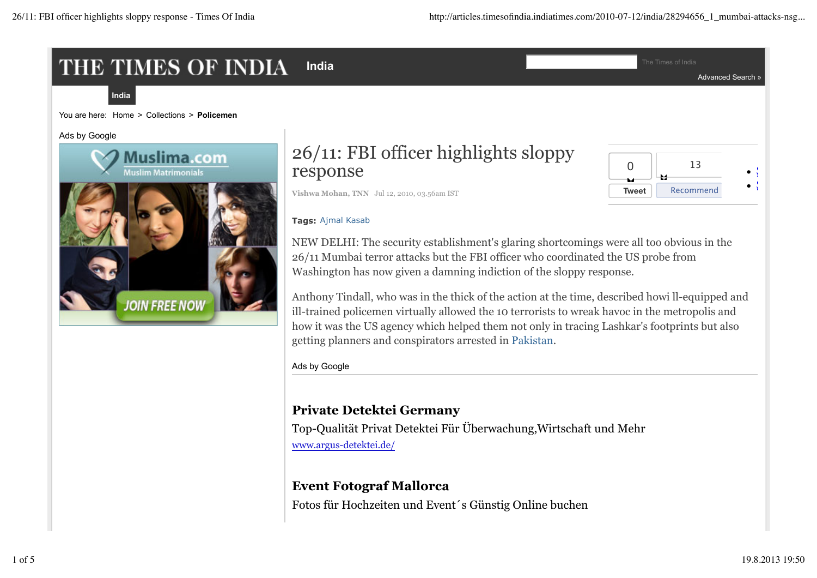# THE TIMES OF INDIA

**India** The Times of India

Advanced Search »



You are here: Home > Collections > **Policemen**

Ads by Google



# 26/11: FBI officer highlights sloppy response



**Vishwa Mohan, TNN** Jul 12, 2010, 03.56am IST

#### **Tags:** Ajmal Kasab

NEW DELHI: The security establishment's glaring shortcomings were all too obvious in the 26/11 Mumbai terror attacks but the FBI officer who coordinated the US probe from Washington has now given a damning indiction of the sloppy response.

Anthony Tindall, who was in the thick of the action at the time, described howi ll-equipped and ill-trained policemen virtually allowed the 10 terrorists to wreak havoc in the metropolis and how it was the US agency which helped them not only in tracing Lashkar's footprints but also getting planners and conspirators arrested in Pakistan.

Ads by Google

# **Private Detektei Germany**

Top-Qualität Privat Detektei Für Überwachung,Wirtschaft und Mehr www.argus-detektei.de/

# **Event Fotograf Mallorca**

Fotos für Hochzeiten und Event´s Günstig Online buchen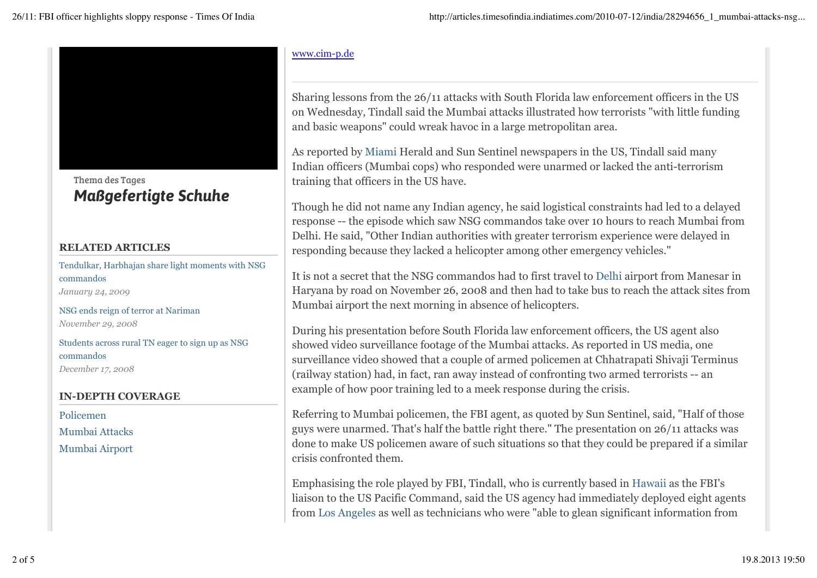

Thema des Tages *Maßgefertigte Schuhe*

#### **RELATED ARTICLES**

Tendulkar, Harbhajan share light moments with NSG commandos *January 24, 2009*

NSG ends reign of terror at Nariman *November 29, 2008*

Students across rural TN eager to sign up as NSG commandos *December 17, 2008*

#### **IN-DEPTH COVERAGE**

Policemen Mumbai Attacks

Mumbai Airport

#### www.cim-p.de

Sharing lessons from the 26/11 attacks with South Florida law enforcement officers in the US on Wednesday, Tindall said the Mumbai attacks illustrated how terrorists "with little funding and basic weapons" could wreak havoc in a large metropolitan area.

As reported by Miami Herald and Sun Sentinel newspapers in the US, Tindall said many Indian officers (Mumbai cops) who responded were unarmed or lacked the anti-terrorism training that officers in the US have.

Though he did not name any Indian agency, he said logistical constraints had led to a delayed response -- the episode which saw NSG commandos take over 10 hours to reach Mumbai from Delhi. He said, "Other Indian authorities with greater terrorism experience were delayed in responding because they lacked a helicopter among other emergency vehicles."

It is not a secret that the NSG commandos had to first travel to Delhi airport from Manesar in Haryana by road on November 26, 2008 and then had to take bus to reach the attack sites from Mumbai airport the next morning in absence of helicopters.

During his presentation before South Florida law enforcement officers, the US agent also showed video surveillance footage of the Mumbai attacks. As reported in US media, one surveillance video showed that a couple of armed policemen at Chhatrapati Shivaji Terminus (railway station) had, in fact, ran away instead of confronting two armed terrorists -- an example of how poor training led to a meek response during the crisis.

Referring to Mumbai policemen, the FBI agent, as quoted by Sun Sentinel, said, "Half of those guys were unarmed. That's half the battle right there." The presentation on 26/11 attacks was done to make US policemen aware of such situations so that they could be prepared if a similar crisis confronted them.

Emphasising the role played by FBI, Tindall, who is currently based in Hawaii as the FBI's liaison to the US Pacific Command, said the US agency had immediately deployed eight agents from Los Angeles as well as technicians who were "able to glean significant information from